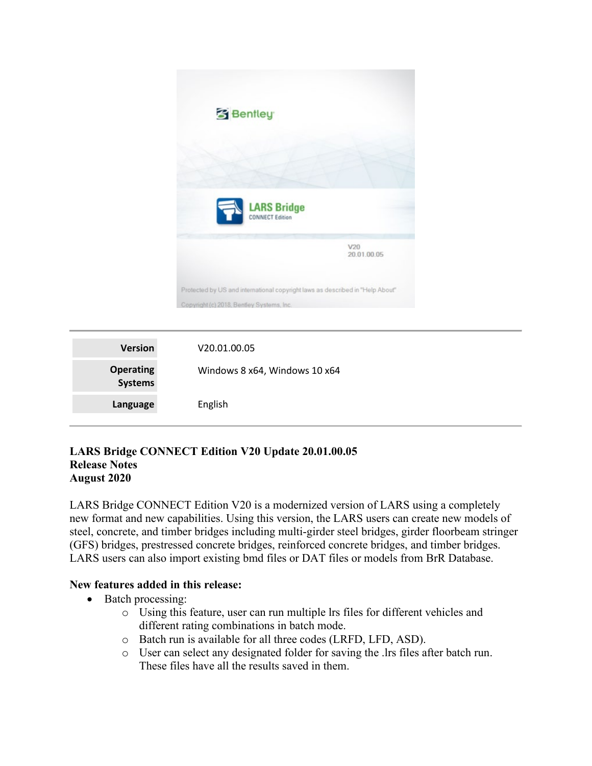

| <b>Version</b>                     | V <sub>20.01.00.05</sub>      |
|------------------------------------|-------------------------------|
| <b>Operating</b><br><b>Systems</b> | Windows 8 x64, Windows 10 x64 |
| Language                           | English                       |

## **LARS Bridge CONNECT Edition V20 Update 20.01.00.05 Release Notes August 2020**

LARS Bridge CONNECT Edition V20 is a modernized version of LARS using a completely new format and new capabilities. Using this version, the LARS users can create new models of steel, concrete, and timber bridges including multi-girder steel bridges, girder floorbeam stringer (GFS) bridges, prestressed concrete bridges, reinforced concrete bridges, and timber bridges. LARS users can also import existing bmd files or DAT files or models from BrR Database.

## **New features added in this release:**

- Batch processing:
	- o Using this feature, user can run multiple lrs files for different vehicles and different rating combinations in batch mode.
	- o Batch run is available for all three codes (LRFD, LFD, ASD).
	- o User can select any designated folder for saving the .lrs files after batch run. These files have all the results saved in them.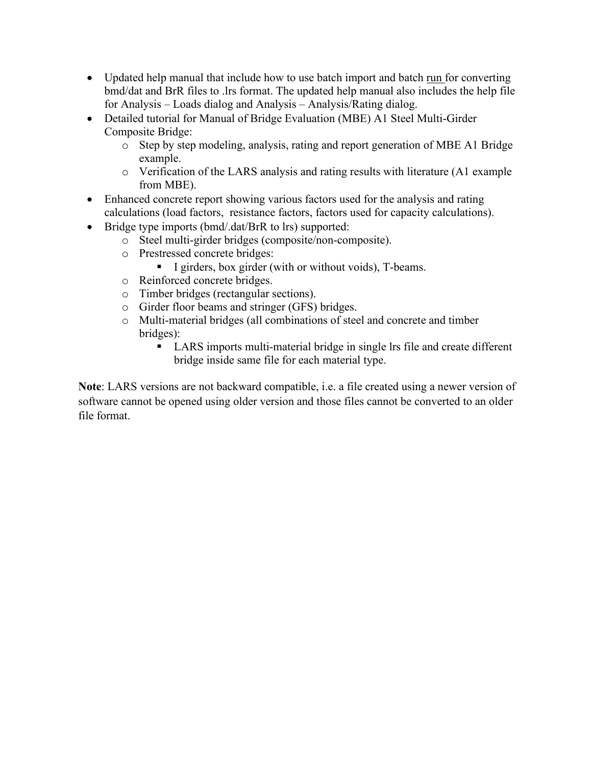- Updated help manual that include how to use batch import and batch run for converting bmd/dat and BrR files to .lrs format. The updated help manual also includes the help file for Analysis – Loads dialog and Analysis – Analysis/Rating dialog.
- Detailed tutorial for Manual of Bridge Evaluation (MBE) A1 Steel Multi-Girder Composite Bridge:
	- o Step by step modeling, analysis, rating and report generation of MBE A1 Bridge example.
	- o Verification of the LARS analysis and rating results with literature (A1 example from MBE).
- Enhanced concrete report showing various factors used for the analysis and rating calculations (load factors, resistance factors, factors used for capacity calculations).
- Bridge type imports (bmd/.dat/BrR to lrs) supported:
	- o Steel multi-girder bridges (composite/non-composite).
	- o Prestressed concrete bridges:
		- I girders, box girder (with or without voids), T-beams.
	- o Reinforced concrete bridges.
	- o Timber bridges (rectangular sections).
	- o Girder floor beams and stringer (GFS) bridges.
	- o Multi-material bridges (all combinations of steel and concrete and timber bridges):
		- LARS imports multi-material bridge in single lrs file and create different bridge inside same file for each material type.

**Note**: LARS versions are not backward compatible, i.e. a file created using a newer version of software cannot be opened using older version and those files cannot be converted to an older file format.